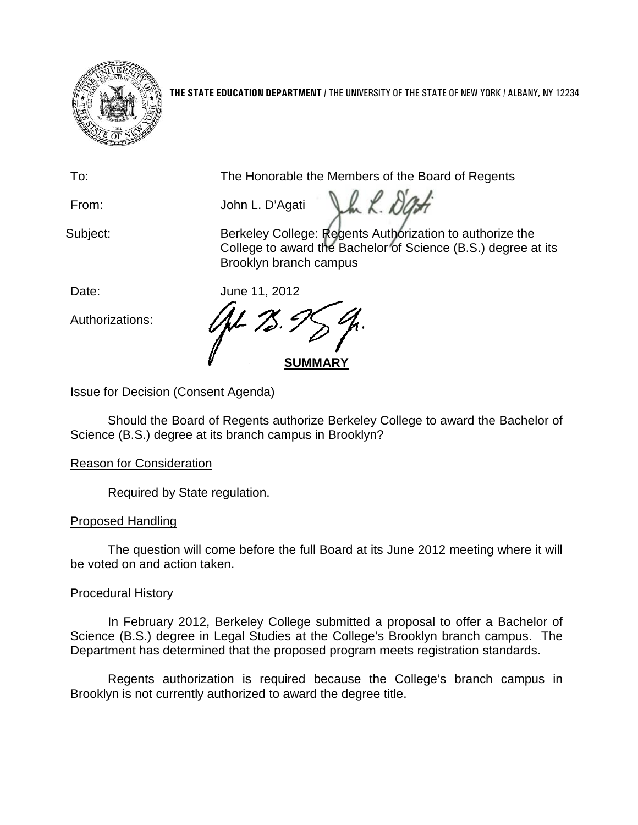

**THE STATE EDUCATION DEPARTMENT** / THE UNIVERSITY OF THE STATE OF NEW YORK / ALBANY, NY 12234

To: The Honorable the Members of the Board of Regents

Vh L. De From: John L. D'Agati

Subject: **Berkeley College: Regents Authorization to authorize the** Subject: College to award the Bachelor of Science (B.S.) degree at its Brooklyn branch campus

Date: June 11, 2012

Authorizations:

**SUMMARY**

# Issue for Decision (Consent Agenda)

Should the Board of Regents authorize Berkeley College to award the Bachelor of Science (B.S.) degree at its branch campus in Brooklyn?

## Reason for Consideration

Required by State regulation.

## Proposed Handling

The question will come before the full Board at its June 2012 meeting where it will be voted on and action taken.

## Procedural History

In February 2012, Berkeley College submitted a proposal to offer a Bachelor of Science (B.S.) degree in Legal Studies at the College's Brooklyn branch campus. The Department has determined that the proposed program meets registration standards.

Regents authorization is required because the College's branch campus in Brooklyn is not currently authorized to award the degree title.